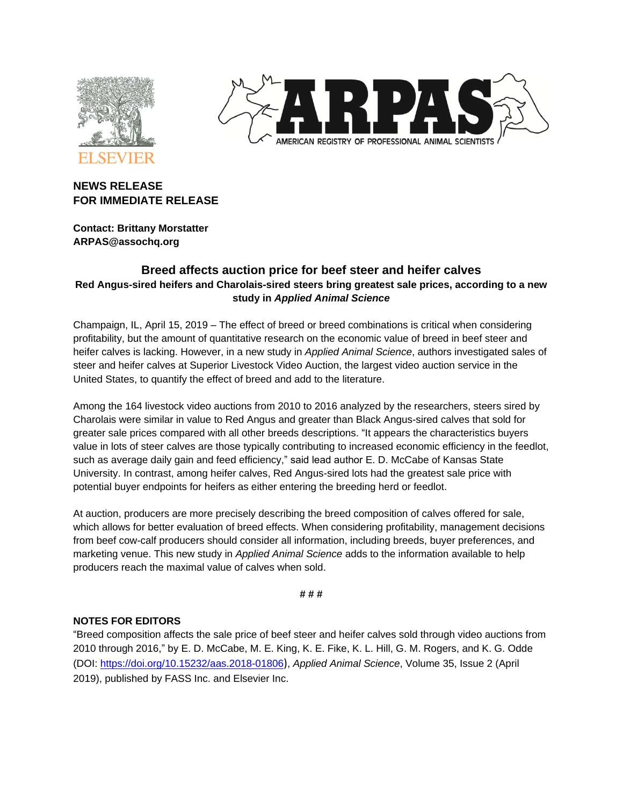



# **NEWS RELEASE FOR IMMEDIATE RELEASE**

**Contact: Brittany Morstatter ARPAS@assochq.org**

# **Breed affects auction price for beef steer and heifer calves Red Angus-sired heifers and Charolais-sired steers bring greatest sale prices, according to a new study in** *Applied Animal Science*

Champaign, IL, April 15, 2019 – The effect of breed or breed combinations is critical when considering profitability, but the amount of quantitative research on the economic value of breed in beef steer and heifer calves is lacking. However, in a new study in *Applied Animal Science*, authors investigated sales of steer and heifer calves at Superior Livestock Video Auction, the largest video auction service in the United States, to quantify the effect of breed and add to the literature.

Among the 164 livestock video auctions from 2010 to 2016 analyzed by the researchers, steers sired by Charolais were similar in value to Red Angus and greater than Black Angus-sired calves that sold for greater sale prices compared with all other breeds descriptions. "It appears the characteristics buyers value in lots of steer calves are those typically contributing to increased economic efficiency in the feedlot, such as average daily gain and feed efficiency," said lead author E. D. McCabe of Kansas State University. In contrast, among heifer calves, Red Angus-sired lots had the greatest sale price with potential buyer endpoints for heifers as either entering the breeding herd or feedlot.

At auction, producers are more precisely describing the breed composition of calves offered for sale, which allows for better evaluation of breed effects. When considering profitability, management decisions from beef cow-calf producers should consider all information, including breeds, buyer preferences, and marketing venue. This new study in *Applied Animal Science* adds to the information available to help producers reach the maximal value of calves when sold.

### **# # #**

## **NOTES FOR EDITORS**

"Breed composition affects the sale price of beef steer and heifer calves sold through video auctions from 2010 through 2016," by E. D. McCabe, M. E. King, K. E. Fike, K. L. Hill, G. M. Rogers, and K. G. Odde (DOI:<https://doi.org/10.15232/aas.2018-01806>), *Applied Animal Science*, Volume 35, Issue 2 (April 2019), published by FASS Inc. and Elsevier Inc.